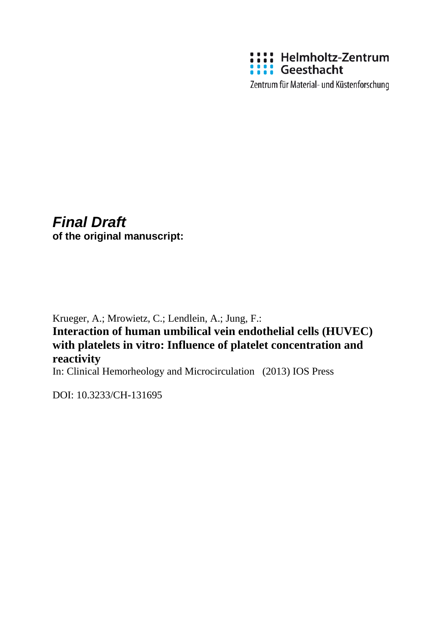

Zentrum für Material- und Küstenforschung

# *Final Draft*

**of the original manuscript:**

Krueger, A.; Mrowietz, C.; Lendlein, A.; Jung, F.:

**Interaction of human umbilical vein endothelial cells (HUVEC) with platelets in vitro: Influence of platelet concentration and reactivity**

In: Clinical Hemorheology and Microcirculation (2013) IOS Press

DOI: 10.3233/CH-131695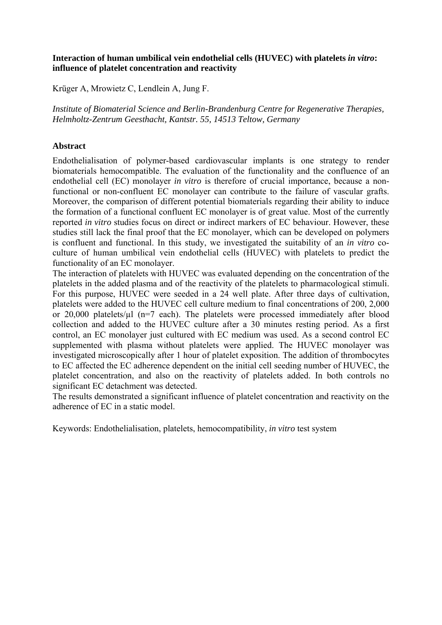# **Interaction of human umbilical vein endothelial cells (HUVEC) with platelets** *in vitro***: influence of platelet concentration and reactivity**

Krüger A, Mrowietz C, Lendlein A, Jung F.

*Institute of Biomaterial Science and Berlin-Brandenburg Centre for Regenerative Therapies, Helmholtz-Zentrum Geesthacht, Kantstr. 55, 14513 Teltow, Germany* 

# **Abstract**

Endothelialisation of polymer-based cardiovascular implants is one strategy to render biomaterials hemocompatible. The evaluation of the functionality and the confluence of an endothelial cell (EC) monolayer *in vitro* is therefore of crucial importance, because a nonfunctional or non-confluent EC monolayer can contribute to the failure of vascular grafts. Moreover, the comparison of different potential biomaterials regarding their ability to induce the formation of a functional confluent EC monolayer is of great value. Most of the currently reported *in vitro* studies focus on direct or indirect markers of EC behaviour. However, these studies still lack the final proof that the EC monolayer, which can be developed on polymers is confluent and functional. In this study, we investigated the suitability of an *in vitro* coculture of human umbilical vein endothelial cells (HUVEC) with platelets to predict the functionality of an EC monolayer.

The interaction of platelets with HUVEC was evaluated depending on the concentration of the platelets in the added plasma and of the reactivity of the platelets to pharmacological stimuli. For this purpose, HUVEC were seeded in a 24 well plate. After three days of cultivation, platelets were added to the HUVEC cell culture medium to final concentrations of 200, 2,000 or 20,000 platelets/µl (n=7 each). The platelets were processed immediately after blood collection and added to the HUVEC culture after a 30 minutes resting period. As a first control, an EC monolayer just cultured with EC medium was used. As a second control EC supplemented with plasma without platelets were applied. The HUVEC monolayer was investigated microscopically after 1 hour of platelet exposition. The addition of thrombocytes to EC affected the EC adherence dependent on the initial cell seeding number of HUVEC, the platelet concentration, and also on the reactivity of platelets added. In both controls no significant EC detachment was detected.

The results demonstrated a significant influence of platelet concentration and reactivity on the adherence of EC in a static model.

Keywords: Endothelialisation, platelets, hemocompatibility, *in vitro* test system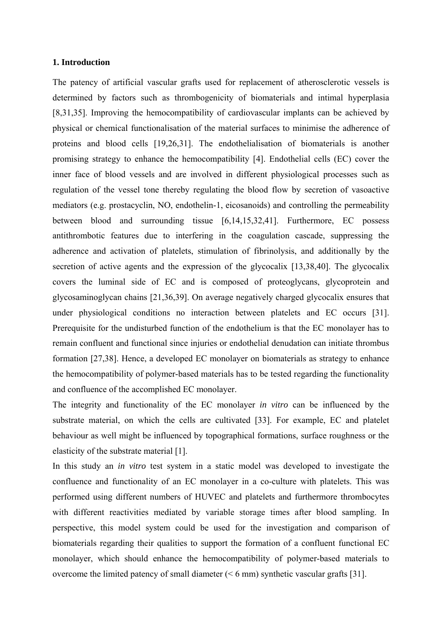#### **1. Introduction**

The patency of artificial vascular grafts used for replacement of atherosclerotic vessels is determined by factors such as thrombogenicity of biomaterials and intimal hyperplasia [8,31,35]. Improving the hemocompatibility of cardiovascular implants can be achieved by physical or chemical functionalisation of the material surfaces to minimise the adherence of proteins and blood cells [19,26,31]. The endothelialisation of biomaterials is another promising strategy to enhance the hemocompatibility [4]. Endothelial cells (EC) cover the inner face of blood vessels and are involved in different physiological processes such as regulation of the vessel tone thereby regulating the blood flow by secretion of vasoactive mediators (e.g. prostacyclin, NO, endothelin-1, eicosanoids) and controlling the permeability between blood and surrounding tissue [6,14,15,32,41]. Furthermore, EC possess antithrombotic features due to interfering in the coagulation cascade, suppressing the adherence and activation of platelets, stimulation of fibrinolysis, and additionally by the secretion of active agents and the expression of the glycocalix [13,38,40]. The glycocalix covers the luminal side of EC and is composed of proteoglycans, glycoprotein and glycosaminoglycan chains [21,36,39]. On average negatively charged glycocalix ensures that under physiological conditions no interaction between platelets and EC occurs [31]. Prerequisite for the undisturbed function of the endothelium is that the EC monolayer has to remain confluent and functional since injuries or endothelial denudation can initiate thrombus formation [27,38]. Hence, a developed EC monolayer on biomaterials as strategy to enhance the hemocompatibility of polymer-based materials has to be tested regarding the functionality and confluence of the accomplished EC monolayer.

The integrity and functionality of the EC monolayer *in vitro* can be influenced by the substrate material, on which the cells are cultivated [33]. For example, EC and platelet behaviour as well might be influenced by topographical formations, surface roughness or the elasticity of the substrate material [1].

In this study an *in vitro* test system in a static model was developed to investigate the confluence and functionality of an EC monolayer in a co-culture with platelets. This was performed using different numbers of HUVEC and platelets and furthermore thrombocytes with different reactivities mediated by variable storage times after blood sampling. In perspective, this model system could be used for the investigation and comparison of biomaterials regarding their qualities to support the formation of a confluent functional EC monolayer, which should enhance the hemocompatibility of polymer-based materials to overcome the limited patency of small diameter (< 6 mm) synthetic vascular grafts [31].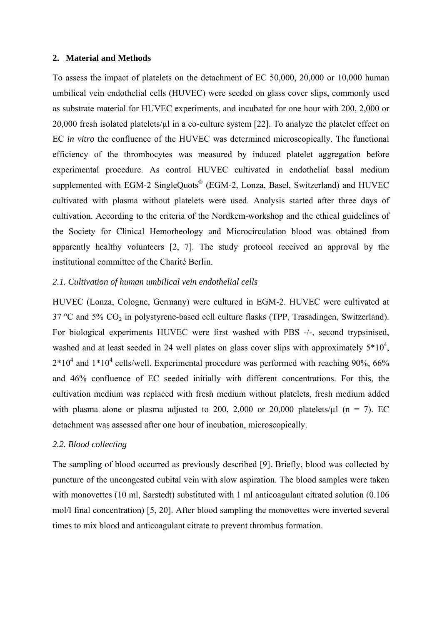#### **2. Material and Methods**

To assess the impact of platelets on the detachment of EC 50,000, 20,000 or 10,000 human umbilical vein endothelial cells (HUVEC) were seeded on glass cover slips, commonly used as substrate material for HUVEC experiments, and incubated for one hour with 200, 2,000 or 20,000 fresh isolated platelets/ $\mu$ l in a co-culture system [22]. To analyze the platelet effect on EC *in vitro* the confluence of the HUVEC was determined microscopically. The functional efficiency of the thrombocytes was measured by induced platelet aggregation before experimental procedure. As control HUVEC cultivated in endothelial basal medium supplemented with EGM-2 SingleQuots<sup>®</sup> (EGM-2, Lonza, Basel, Switzerland) and HUVEC cultivated with plasma without platelets were used. Analysis started after three days of cultivation. According to the criteria of the Nordkem-workshop and the ethical guidelines of the Society for Clinical Hemorheology and Microcirculation blood was obtained from apparently healthy volunteers [2, 7]. The study protocol received an approval by the institutional committee of the Charité Berlin.

# *2.1. Cultivation of human umbilical vein endothelial cells*

HUVEC (Lonza, Cologne, Germany) were cultured in EGM-2. HUVEC were cultivated at  $37 \text{ °C}$  and  $5\% \text{ CO}_2$  in polystyrene-based cell culture flasks (TPP, Trasadingen, Switzerland). For biological experiments HUVEC were first washed with PBS -/-, second trypsinised, washed and at least seeded in 24 well plates on glass cover slips with approximately  $5*10^4$ ,  $2*10<sup>4</sup>$  and  $1*10<sup>4</sup>$  cells/well. Experimental procedure was performed with reaching 90%, 66% and 46% confluence of EC seeded initially with different concentrations. For this, the cultivation medium was replaced with fresh medium without platelets, fresh medium added with plasma alone or plasma adjusted to 200, 2,000 or 20,000 platelets/ $\mu$ l (n = 7). EC detachment was assessed after one hour of incubation, microscopically.

## *2.2. Blood collecting*

The sampling of blood occurred as previously described [9]. Briefly, blood was collected by puncture of the uncongested cubital vein with slow aspiration. The blood samples were taken with monovettes (10 ml, Sarstedt) substituted with 1 ml anticoagulant citrated solution (0.106 mol/l final concentration) [5, 20]. After blood sampling the monovettes were inverted several times to mix blood and anticoagulant citrate to prevent thrombus formation.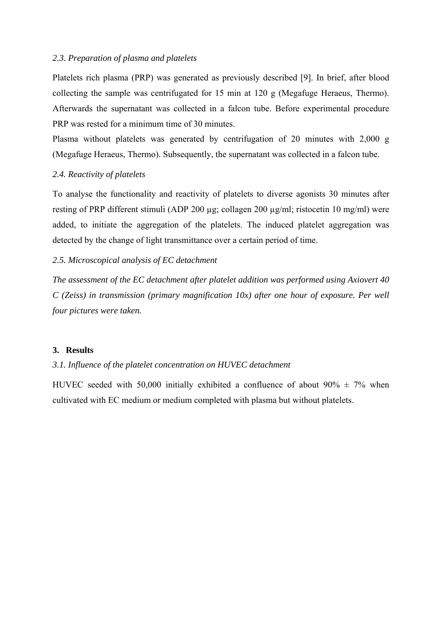# *2.3. Preparation of plasma and platelets*

Platelets rich plasma (PRP) was generated as previously described [9]. In brief, after blood collecting the sample was centrifugated for 15 min at 120 g (Megafuge Heraeus, Thermo). Afterwards the supernatant was collected in a falcon tube. Before experimental procedure PRP was rested for a minimum time of 30 minutes.

Plasma without platelets was generated by centrifugation of 20 minutes with 2,000 g (Megafuge Heraeus, Thermo). Subsequently, the supernatant was collected in a falcon tube.

# *2.4. Reactivity of platelets*

To analyse the functionality and reactivity of platelets to diverse agonists 30 minutes after resting of PRP different stimuli (ADP 200 µg; collagen 200 µg/ml; ristocetin 10 mg/ml) were added, to initiate the aggregation of the platelets. The induced platelet aggregation was detected by the change of light transmittance over a certain period of time.

# *2.5. Microscopical analysis of EC detachment*

*The assessment of the EC detachment after platelet addition was performed using Axiovert 40 C (Zeiss) in transmission (primary magnification 10x) after one hour of exposure. Per well four pictures were taken.* 

#### **3. Results**

# *3.1. Influence of the platelet concentration on HUVEC detachment*

HUVEC seeded with 50,000 initially exhibited a confluence of about  $90\% \pm 7\%$  when cultivated with EC medium or medium completed with plasma but without platelets.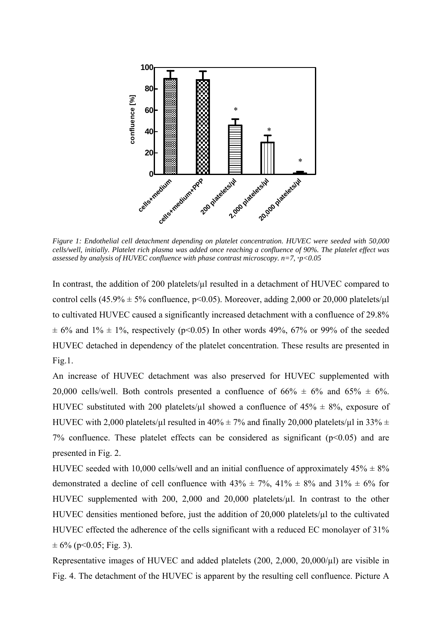

*Figure 1: Endothelial cell detachment depending on platelet concentration. HUVEC were seeded with 50,000 cells/well, initially. Platelet rich plasma was added once reaching a confluence of 90%. The platelet effect was assessed by analysis of HUVEC confluence with phase contrast microscopy. n=7, \*p<0.05* 

In contrast, the addition of 200 platelets/ $\mu$ l resulted in a detachment of HUVEC compared to control cells (45.9%  $\pm$  5% confluence, p<0.05). Moreover, adding 2,000 or 20,000 platelets/ $\mu$ l to cultivated HUVEC caused a significantly increased detachment with a confluence of 29.8%  $\pm$  6% and 1%  $\pm$  1%, respectively (p<0.05) In other words 49%, 67% or 99% of the seeded HUVEC detached in dependency of the platelet concentration. These results are presented in Fig.1.

An increase of HUVEC detachment was also preserved for HUVEC supplemented with 20,000 cells/well. Both controls presented a confluence of  $66\% \pm 6\%$  and  $65\% \pm 6\%$ . HUVEC substituted with 200 platelets/ $\mu$ l showed a confluence of 45%  $\pm$  8%, exposure of HUVEC with 2,000 platelets/ $\mu$ l resulted in 40%  $\pm$  7% and finally 20,000 platelets/ $\mu$ l in 33%  $\pm$ 7% confluence. These platelet effects can be considered as significant  $(p<0.05)$  and are presented in Fig. 2.

HUVEC seeded with 10,000 cells/well and an initial confluence of approximately  $45\% \pm 8\%$ demonstrated a decline of cell confluence with  $43\% \pm 7\%$ ,  $41\% \pm 8\%$  and  $31\% \pm 6\%$  for HUVEC supplemented with 200, 2,000 and 20,000 platelets/ $\mu$ l. In contrast to the other HUVEC densities mentioned before, just the addition of 20,000 platelets/ $\mu$ l to the cultivated HUVEC effected the adherence of the cells significant with a reduced EC monolayer of 31%  $\pm 6\%$  (p<0.05; Fig. 3).

Representative images of HUVEC and added platelets (200, 2,000, 20,000/µl) are visible in Fig. 4. The detachment of the HUVEC is apparent by the resulting cell confluence. Picture A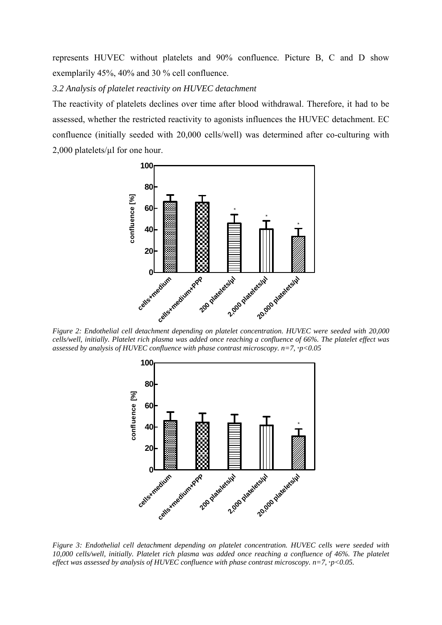represents HUVEC without platelets and 90% confluence. Picture B, C and D show exemplarily 45%, 40% and 30 % cell confluence.

*3.2 Analysis of platelet reactivity on HUVEC detachment* 

The reactivity of platelets declines over time after blood withdrawal. Therefore, it had to be assessed, whether the restricted reactivity to agonists influences the HUVEC detachment. EC confluence (initially seeded with 20,000 cells/well) was determined after co-culturing with 2,000 platelets/µl for one hour.



*Figure 2: Endothelial cell detachment depending on platelet concentration. HUVEC were seeded with 20,000 cells/well, initially. Platelet rich plasma was added once reaching a confluence of 66%. The platelet effect was assessed by analysis of HUVEC confluence with phase contrast microscopy. n=7, \*p<0.05* 



*Figure 3: Endothelial cell detachment depending on platelet concentration. HUVEC cells were seeded with 10,000 cells/well, initially. Platelet rich plasma was added once reaching a confluence of 46%. The platelet*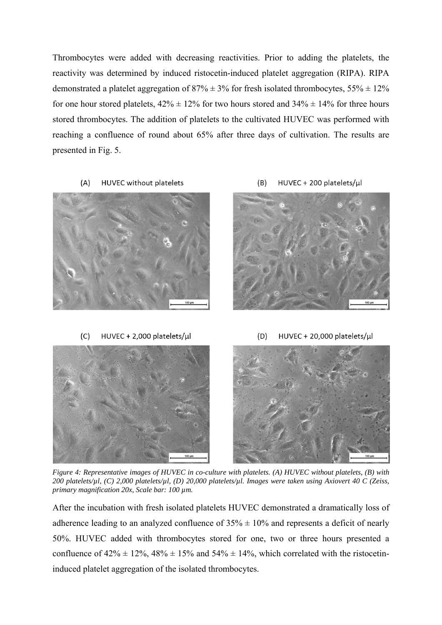Thrombocytes were added with decreasing reactivities. Prior to adding the platelets, the reactivity was determined by induced ristocetin-induced platelet aggregation (RIPA). RIPA demonstrated a platelet aggregation of  $87\% \pm 3\%$  for fresh isolated thrombocytes,  $55\% \pm 12\%$ for one hour stored platelets,  $42\% \pm 12\%$  for two hours stored and  $34\% \pm 14\%$  for three hours stored thrombocytes. The addition of platelets to the cultivated HUVEC was performed with reaching a confluence of round about 65% after three days of cultivation. The results are presented in Fig. 5.

HUVEC without platelets  $(A)$ 



HUVEC + 200 platelets/µl  $(B)$ 



HUVEC + 20,000 platelets/ul  $(C)$ HUVEC + 2,000 platelets/µl  $(D)$ 

*Figure 4: Representative images of HUVEC in co-culture with platelets. (A) HUVEC without platelets, (B) with 200 platelets/µl, (C) 2,000 platelets/µl, (D) 20,000 platelets/µl. Images were taken using Axiovert 40 C (Zeiss, primary magnification 20x, Scale bar: 100 µm.* 

After the incubation with fresh isolated platelets HUVEC demonstrated a dramatically loss of adherence leading to an analyzed confluence of  $35\% \pm 10\%$  and represents a deficit of nearly 50%. HUVEC added with thrombocytes stored for one, two or three hours presented a confluence of  $42\% \pm 12\%$ ,  $48\% \pm 15\%$  and  $54\% \pm 14\%$ , which correlated with the ristocetininduced platelet aggregation of the isolated thrombocytes.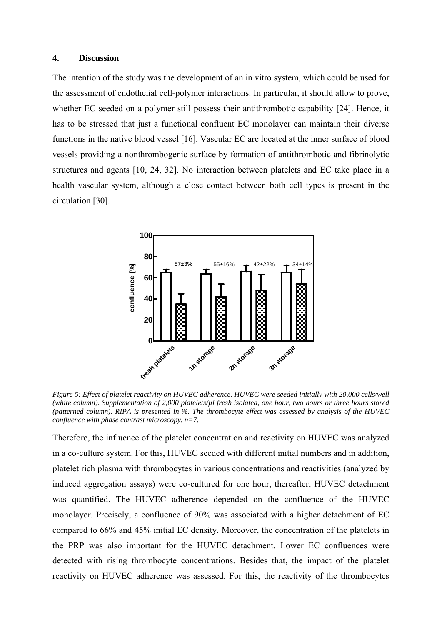### **4. Discussion**

The intention of the study was the development of an in vitro system, which could be used for the assessment of endothelial cell-polymer interactions. In particular, it should allow to prove, whether EC seeded on a polymer still possess their antithrombotic capability [24]. Hence, it has to be stressed that just a functional confluent EC monolayer can maintain their diverse functions in the native blood vessel [16]. Vascular EC are located at the inner surface of blood vessels providing a nonthrombogenic surface by formation of antithrombotic and fibrinolytic structures and agents [10, 24, 32]. No interaction between platelets and EC take place in a health vascular system, although a close contact between both cell types is present in the circulation [30].



*Figure 5: Effect of platelet reactivity on HUVEC adherence. HUVEC were seeded initially with 20,000 cells/well (white column). Supplementation of 2,000 platelets/µl fresh isolated, one hour, two hours or three hours stored (patterned column). RIPA is presented in %. The thrombocyte effect was assessed by analysis of the HUVEC confluence with phase contrast microscopy. n=7.* 

Therefore, the influence of the platelet concentration and reactivity on HUVEC was analyzed in a co-culture system. For this, HUVEC seeded with different initial numbers and in addition, platelet rich plasma with thrombocytes in various concentrations and reactivities (analyzed by induced aggregation assays) were co-cultured for one hour, thereafter, HUVEC detachment was quantified. The HUVEC adherence depended on the confluence of the HUVEC monolayer. Precisely, a confluence of 90% was associated with a higher detachment of EC compared to 66% and 45% initial EC density. Moreover, the concentration of the platelets in the PRP was also important for the HUVEC detachment. Lower EC confluences were detected with rising thrombocyte concentrations. Besides that, the impact of the platelet reactivity on HUVEC adherence was assessed. For this, the reactivity of the thrombocytes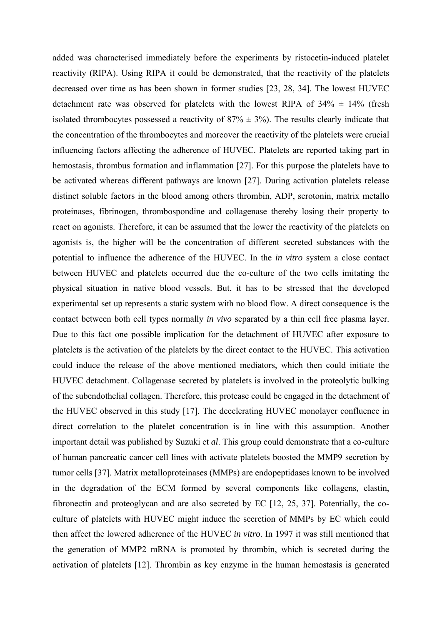added was characterised immediately before the experiments by ristocetin-induced platelet reactivity (RIPA). Using RIPA it could be demonstrated, that the reactivity of the platelets decreased over time as has been shown in former studies [23, 28, 34]. The lowest HUVEC detachment rate was observed for platelets with the lowest RIPA of  $34\% \pm 14\%$  (fresh isolated thrombocytes possessed a reactivity of  $87\% \pm 3\%$ ). The results clearly indicate that the concentration of the thrombocytes and moreover the reactivity of the platelets were crucial influencing factors affecting the adherence of HUVEC. Platelets are reported taking part in hemostasis, thrombus formation and inflammation [27]. For this purpose the platelets have to be activated whereas different pathways are known [27]. During activation platelets release distinct soluble factors in the blood among others thrombin, ADP, serotonin, matrix metallo proteinases, fibrinogen, thrombospondine and collagenase thereby losing their property to react on agonists. Therefore, it can be assumed that the lower the reactivity of the platelets on agonists is, the higher will be the concentration of different secreted substances with the potential to influence the adherence of the HUVEC. In the *in vitro* system a close contact between HUVEC and platelets occurred due the co-culture of the two cells imitating the physical situation in native blood vessels. But, it has to be stressed that the developed experimental set up represents a static system with no blood flow. A direct consequence is the contact between both cell types normally *in vivo* separated by a thin cell free plasma layer. Due to this fact one possible implication for the detachment of HUVEC after exposure to platelets is the activation of the platelets by the direct contact to the HUVEC. This activation could induce the release of the above mentioned mediators, which then could initiate the HUVEC detachment. Collagenase secreted by platelets is involved in the proteolytic bulking of the subendothelial collagen. Therefore, this protease could be engaged in the detachment of the HUVEC observed in this study [17]. The decelerating HUVEC monolayer confluence in direct correlation to the platelet concentration is in line with this assumption. Another important detail was published by Suzuki et *al*. This group could demonstrate that a co-culture of human pancreatic cancer cell lines with activate platelets boosted the MMP9 secretion by tumor cells [37]. Matrix metalloproteinases (MMPs) are endopeptidases known to be involved in the degradation of the ECM formed by several components like collagens, elastin, fibronectin and proteoglycan and are also secreted by EC [12, 25, 37]. Potentially, the coculture of platelets with HUVEC might induce the secretion of MMPs by EC which could then affect the lowered adherence of the HUVEC *in vitro*. In 1997 it was still mentioned that the generation of MMP2 mRNA is promoted by thrombin, which is secreted during the activation of platelets [12]. Thrombin as key enzyme in the human hemostasis is generated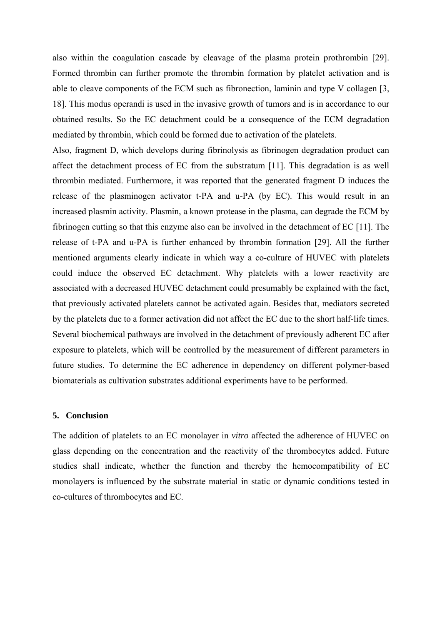also within the coagulation cascade by cleavage of the plasma protein prothrombin [29]. Formed thrombin can further promote the thrombin formation by platelet activation and is able to cleave components of the ECM such as fibronection, laminin and type V collagen [3, 18]. This modus operandi is used in the invasive growth of tumors and is in accordance to our obtained results. So the EC detachment could be a consequence of the ECM degradation mediated by thrombin, which could be formed due to activation of the platelets.

Also, fragment D, which develops during fibrinolysis as fibrinogen degradation product can affect the detachment process of EC from the substratum [11]. This degradation is as well thrombin mediated. Furthermore, it was reported that the generated fragment D induces the release of the plasminogen activator t-PA and u-PA (by EC). This would result in an increased plasmin activity. Plasmin, a known protease in the plasma, can degrade the ECM by fibrinogen cutting so that this enzyme also can be involved in the detachment of EC [11]. The release of t-PA and u-PA is further enhanced by thrombin formation [29]. All the further mentioned arguments clearly indicate in which way a co-culture of HUVEC with platelets could induce the observed EC detachment. Why platelets with a lower reactivity are associated with a decreased HUVEC detachment could presumably be explained with the fact, that previously activated platelets cannot be activated again. Besides that, mediators secreted by the platelets due to a former activation did not affect the EC due to the short half-life times. Several biochemical pathways are involved in the detachment of previously adherent EC after exposure to platelets, which will be controlled by the measurement of different parameters in future studies. To determine the EC adherence in dependency on different polymer-based biomaterials as cultivation substrates additional experiments have to be performed.

#### **5. Conclusion**

The addition of platelets to an EC monolayer in *vitro* affected the adherence of HUVEC on glass depending on the concentration and the reactivity of the thrombocytes added. Future studies shall indicate, whether the function and thereby the hemocompatibility of EC monolayers is influenced by the substrate material in static or dynamic conditions tested in co-cultures of thrombocytes and EC.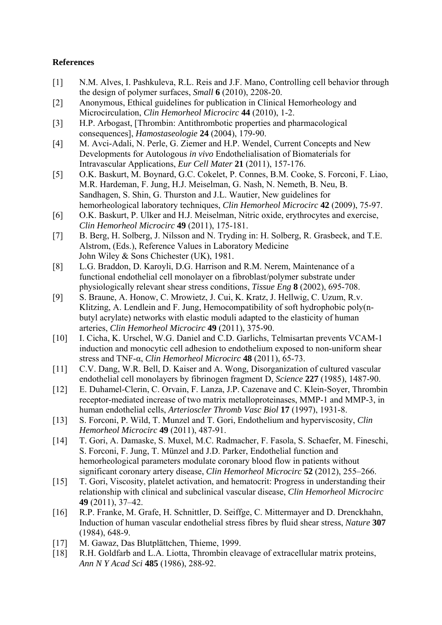# **References**

- [1] N.M. Alves, I. Pashkuleva, R.L. Reis and J.F. Mano, Controlling cell behavior through the design of polymer surfaces, *Small* **6** (2010), 2208-20.
- [2] Anonymous, Ethical guidelines for publication in Clinical Hemorheology and Microcirculation, *Clin Hemorheol Microcirc* **44** (2010), 1-2.
- [3] H.P. Arbogast, [Thrombin: Antithrombotic properties and pharmacological consequences], *Hamostaseologie* **24** (2004), 179-90.
- [4] M. Avci-Adali, N. Perle, G. Ziemer and H.P. Wendel, Current Concepts and New Developments for Autologous *in vivo* Endothelialisation of Biomaterials for Intravascular Applications, *Eur Cell Mater* **21** (2011), 157-176.
- [5] O.K. Baskurt, M. Boynard, G.C. Cokelet, P. Connes, B.M. Cooke, S. Forconi, F. Liao, M.R. Hardeman, F. Jung, H.J. Meiselman, G. Nash, N. Nemeth, B. Neu, B. Sandhagen, S. Shin, G. Thurston and J.L. Wautier, New guidelines for hemorheological laboratory techniques, *Clin Hemorheol Microcirc* **42** (2009), 75-97.
- [6] O.K. Baskurt, P. Ulker and H.J. Meiselman, Nitric oxide, erythrocytes and exercise, *Clin Hemorheol Microcirc* **49** (2011), 175-181.
- [7] B. Berg, H. Solberg, J. Nilsson and N. Tryding in: H. Solberg, R. Grasbeck, and T.E. Alstrom, (Eds.), Reference Values in Laboratory Medicine John Wiley & Sons Chichester (UK), 1981.
- [8] L.G. Braddon, D. Karoyli, D.G. Harrison and R.M. Nerem, Maintenance of a functional endothelial cell monolayer on a fibroblast/polymer substrate under physiologically relevant shear stress conditions, *Tissue Eng* **8** (2002), 695-708.
- [9] S. Braune, A. Honow, C. Mrowietz, J. Cui, K. Kratz, J. Hellwig, C. Uzum, R.v. Klitzing, A. Lendlein and F. Jung, Hemocompatibility of soft hydrophobic poly(nbutyl acrylate) networks with elastic moduli adapted to the elasticity of human arteries, *Clin Hemorheol Microcirc* **49** (2011), 375-90.
- [10] I. Cicha, K. Urschel, W.G. Daniel and C.D. Garlichs, Telmisartan prevents VCAM-1 induction and monocytic cell adhesion to endothelium exposed to non-uniform shear stress and TNF-α, *Clin Hemorheol Microcirc* **48** (2011), 65-73.
- [11] C.V. Dang, W.R. Bell, D. Kaiser and A. Wong, Disorganization of cultured vascular endothelial cell monolayers by fibrinogen fragment D, *Science* **227** (1985), 1487-90.
- [12] E. Duhamel-Clerin, C. Orvain, F. Lanza, J.P. Cazenave and C. Klein-Soyer, Thrombin receptor-mediated increase of two matrix metalloproteinases, MMP-1 and MMP-3, in human endothelial cells, *Arterioscler Thromb Vasc Biol* **17** (1997), 1931-8.
- [13] S. Forconi, P. Wild, T. Munzel and T. Gori, Endothelium and hyperviscosity, *Clin Hemorheol Microcirc* **49** (2011), 487-91.
- [14] T. Gori, A. Damaske, S. Muxel, M.C. Radmacher, F. Fasola, S. Schaefer, M. Fineschi, S. Forconi, F. Jung, T. Münzel and J.D. Parker, Endothelial function and hemorheological parameters modulate coronary blood flow in patients without significant coronary artery disease, *Clin Hemorheol Microcirc* **52** (2012), 255–266.
- [15] T. Gori, Viscosity, platelet activation, and hematocrit: Progress in understanding their relationship with clinical and subclinical vascular disease, *Clin Hemorheol Microcirc* **49** (2011), 37–42.
- [16] R.P. Franke, M. Grafe, H. Schnittler, D. Seiffge, C. Mittermayer and D. Drenckhahn, Induction of human vascular endothelial stress fibres by fluid shear stress, *Nature* **307** (1984), 648-9.
- [17] M. Gawaz, Das Blutplättchen, Thieme, 1999.
- [18] R.H. Goldfarb and L.A. Liotta, Thrombin cleavage of extracellular matrix proteins, *Ann N Y Acad Sci* **485** (1986), 288-92.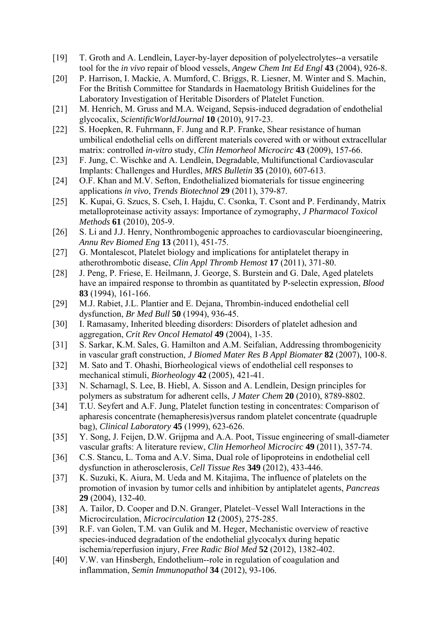- [19] T. Groth and A. Lendlein, Layer-by-layer deposition of polyelectrolytes--a versatile tool for the *in vivo* repair of blood vessels, *Angew Chem Int Ed Engl* **43** (2004), 926-8.
- [20] P. Harrison, I. Mackie, A. Mumford, C. Briggs, R. Liesner, M. Winter and S. Machin, For the British Committee for Standards in Haematology British Guidelines for the Laboratory Investigation of Heritable Disorders of Platelet Function.
- [21] M. Henrich, M. Gruss and M.A. Weigand, Sepsis-induced degradation of endothelial glycocalix, *ScientificWorldJournal* **10** (2010), 917-23.
- [22] S. Hoepken, R. Fuhrmann, F. Jung and R.P. Franke, Shear resistance of human umbilical endothelial cells on different materials covered with or without extracellular matrix: controlled *in-vitro* study, *Clin Hemorheol Microcirc* **43** (2009), 157-66.
- [23] F. Jung, C. Wischke and A. Lendlein, Degradable, Multifunctional Cardiovascular Implants: Challenges and Hurdles, *MRS Bulletin* **35** (2010), 607-613.
- [24] O.F. Khan and M.V. Sefton, Endothelialized biomaterials for tissue engineering applications *in vivo*, *Trends Biotechnol* **29** (2011), 379-87.
- [25] K. Kupai, G. Szucs, S. Cseh, I. Hajdu, C. Csonka, T. Csont and P. Ferdinandy, Matrix metalloproteinase activity assays: Importance of zymography, *J Pharmacol Toxicol Methods* **61** (2010), 205-9.
- [26] S. Li and J.J. Henry, Nonthrombogenic approaches to cardiovascular bioengineering, *Annu Rev Biomed Eng* **13** (2011), 451-75.
- [27] G. Montalescot, Platelet biology and implications for antiplatelet therapy in atherothrombotic disease, *Clin Appl Thromb Hemost* **17** (2011), 371-80.
- [28] J. Peng, P. Friese, E. Heilmann, J. George, S. Burstein and G. Dale, Aged platelets have an impaired response to thrombin as quantitated by P-selectin expression, *Blood* **83** (1994), 161-166.
- [29] M.J. Rabiet, J.L. Plantier and E. Dejana, Thrombin-induced endothelial cell dysfunction, *Br Med Bull* **50** (1994), 936-45.
- [30] I. Ramasamy, Inherited bleeding disorders: Disorders of platelet adhesion and aggregation, *Crit Rev Oncol Hematol* **49** (2004), 1-35.
- [31] S. Sarkar, K.M. Sales, G. Hamilton and A.M. Seifalian, Addressing thrombogenicity in vascular graft construction, *J Biomed Mater Res B Appl Biomater* **82** (2007), 100-8.
- [32] M. Sato and T. Ohashi, Biorheological views of endothelial cell responses to mechanical stimuli, *Biorheology* **42** (2005), 421-41.
- [33] N. Scharnagl, S. Lee, B. Hiebl, A. Sisson and A. Lendlein, Design principles for polymers as substratum for adherent cells, *J Mater Chem* **20** (2010), 8789-8802.
- [34] T.U. Seyfert and A.F. Jung, Platelet function testing in concentrates: Comparison of apharesis concentrate (hemapheresis)versus random platelet concentrate (quadruple bag), *Clinical Laboratory* **45** (1999), 623-626.
- [35] Y. Song, J. Feijen, D.W. Grijpma and A.A. Poot, Tissue engineering of small-diameter vascular grafts: A literature review, *Clin Hemorheol Microcirc* **49** (2011), 357-74.
- [36] C.S. Stancu, L. Toma and A.V. Sima, Dual role of lipoproteins in endothelial cell dysfunction in atherosclerosis, *Cell Tissue Res* **349** (2012), 433-446.
- [37] K. Suzuki, K. Aiura, M. Ueda and M. Kitajima, The influence of platelets on the promotion of invasion by tumor cells and inhibition by antiplatelet agents, *Pancreas* **29** (2004), 132-40.
- [38] A. Tailor, D. Cooper and D.N. Granger, Platelet–Vessel Wall Interactions in the Microcirculation, *Microcirculation* **12** (2005), 275-285.
- [39] R.F. van Golen, T.M. van Gulik and M. Heger, Mechanistic overview of reactive species-induced degradation of the endothelial glycocalyx during hepatic ischemia/reperfusion injury, *Free Radic Biol Med* **52** (2012), 1382-402.
- [40] V.W. van Hinsbergh, Endothelium--role in regulation of coagulation and inflammation, *Semin Immunopathol* **34** (2012), 93-106.